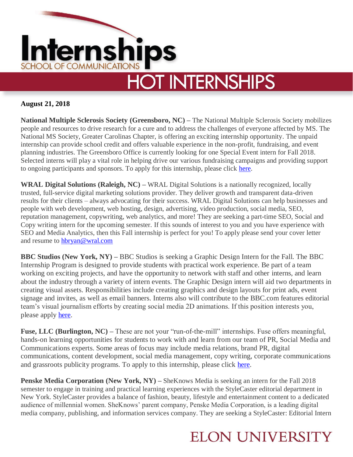

#### **August 21, 2018**

**National Multiple Sclerosis Society (Greensboro, NC) –** The National Multiple Sclerosis Society mobilizes people and resources to drive research for a cure and to address the challenges of everyone affected by MS. The National MS Society, Greater Carolinas Chapter, is offering an exciting internship opportunity. The unpaid internship can provide school credit and offers valuable experience in the non-profit, fundraising, and event planning industries. The Greensboro Office is currently looking for one Special Event intern for Fall 2018. Selected interns will play a vital role in helping drive our various fundraising campaigns and providing support to ongoing participants and sponsors. To apply for this internship, please click [here.](https://recruiting.adp.com/srccar/public/RTI.home?c=1109441&d=Internships#/)

**WRAL Digital Solutions (Raleigh, NC) –** WRAL Digital Solutions is a nationally recognized, locally trusted, full-service digital marketing solutions provider. They deliver growth and transparent data-driven results for their clients – always advocating for their success. WRAL Digital Solutions can help businesses and people with web development, web hosting, design, advertising, video production, social media, SEO, reputation management, copywriting, web analytics, and more! They are seeking a part-time SEO, Social and Copy writing intern for the upcoming semester. If this sounds of interest to you and you have experience with SEO and Media Analytics, then this Fall internship is perfect for you! To apply please send your cover letter and resume to [hbryan@wral.com](mailto:hbryan@wral.com)

**BBC Studios (New York, NY) –** BBC Studios is seeking a Graphic Design Intern for the Fall. The BBC Internship Program is designed to provide students with practical work experience. Be part of a team working on exciting projects, and have the opportunity to network with staff and other interns, and learn about the industry through a variety of intern events. The Graphic Design intern will aid two departments in creating visual assets. Responsibilities include creating graphics and design layouts for print ads, event signage and invites, as well as email banners. Interns also will contribute to the BBC.com features editorial team's visual journalism efforts by creating social media 2D animations. If this position interests you, please apply **here**.

**Fuse, LLC (Burlington, NC) –** These are not your "run-of-the-mill" internships. Fuse offers meaningful, hands-on learning opportunities for students to work with and learn from our team of PR, Social Media and Communications experts. Some areas of focus may include media relations, brand PR, digital communications, content development, social media management, copy writing, corporate communications and grassroots publicity programs. To apply to this internship, please click [here.](https://www.linkedin.com/jobs/view/809889562/)

**Penske Media Corporation (New York, NY) –** SheKnows Media is seeking an intern for the Fall 2018 semester to engage in training and practical learning experiences with the StyleCaster editorial department in New York. StyleCaster provides a balance of fashion, beauty, lifestyle and entertainment content to a dedicated audience of millennial women. SheKnows' parent company, Penske Media Corporation, is a leading digital media company, publishing, and information services company. They are seeking a StyleCaster: Editorial Intern

## **ELON UNIVERSITY**